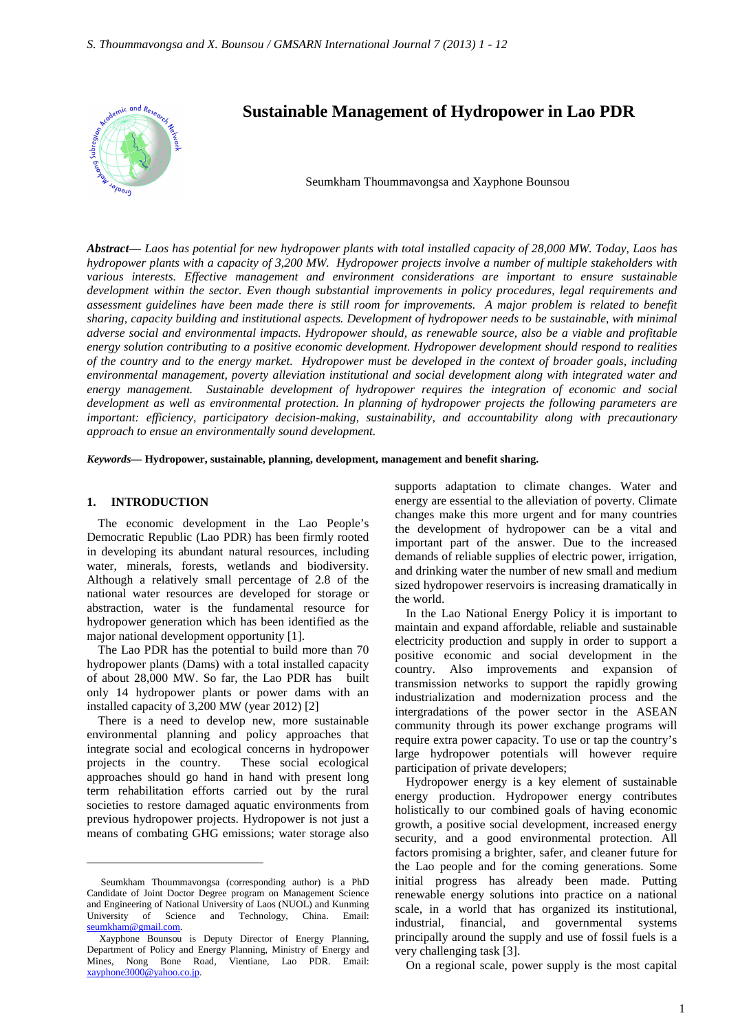

*Abstract***—** *Laos has potential for new hydropower plants with total installed capacity of 28,000 MW. Today, Laos has hydropower plants with a capacity of 3,200 MW. Hydropower projects involve a number of multiple stakeholders with various interests. Effective management and environment considerations are important to ensure sustainable development within the sector. Even though substantial improvements in policy procedures, legal requirements and assessment guidelines have been made there is still room for improvements. A major problem is related to benefit sharing, capacity building and institutional aspects. Development of hydropower needs to be sustainable, with minimal adverse social and environmental impacts. Hydropower should, as renewable source, also be a viable and profitable energy solution contributing to a positive economic development. Hydropower development should respond to realities of the country and to the energy market. Hydropower must be developed in the context of broader goals, including environmental management, poverty alleviation institutional and social development along with integrated water and energy management. Sustainable development of hydropower requires the integration of economic and social development as well as environmental protection. In planning of hydropower projects the following parameters are important: efficiency, participatory decision-making, sustainability, and accountability along with precautionary approach to ensue an environmentally sound development.*

*Keywords***— Hydropower, sustainable, planning, development, management and benefit sharing.**

### **1. INTRODUCTION**

 $\overline{a}$ 

The economic development in the Lao People's Democratic Republic (Lao PDR) has been firmly rooted in developing its abundant natural resources, including water, minerals, forests, wetlands and biodiversity. Although a relatively small percentage of 2.8 of the national water resources are developed for storage or abstraction, water is the fundamental resource for hydropower generation which has been identified as the major national development opportunity [1].

The Lao PDR has the potential to build more than 70 hydropower plants (Dams) with a total installed capacity of about 28,000 MW. So far, the Lao PDR has built only 14 hydropower plants or power dams with an installed capacity of 3,200 MW (year 2012) [2]

There is a need to develop new, more sustainable environmental planning and policy approaches that integrate social and ecological concerns in hydropower projects in the country. These social ecological approaches should go hand in hand with present long term rehabilitation efforts carried out by the rural societies to restore damaged aquatic environments from previous hydropower projects. Hydropower is not just a means of combating GHG emissions; water storage also supports adaptation to climate changes. Water and energy are essential to the alleviation of poverty. Climate changes make this more urgent and for many countries the development of hydropower can be a vital and important part of the answer. Due to the increased demands of reliable supplies of electric power, irrigation, and drinking water the number of new small and medium sized hydropower reservoirs is increasing dramatically in the world.

In the Lao National Energy Policy it is important to maintain and expand affordable, reliable and sustainable electricity production and supply in order to support a positive economic and social development in the country. Also improvements and expansion of transmission networks to support the rapidly growing industrialization and modernization process and the intergradations of the power sector in the ASEAN community through its power exchange programs will require extra power capacity. To use or tap the country's large hydropower potentials will however require participation of private developers;

Hydropower energy is a key element of sustainable energy production. Hydropower energy contributes holistically to our combined goals of having economic growth, a positive social development, increased energy security, and a good environmental protection. All factors promising a brighter, safer, and cleaner future for the Lao people and for the coming generations. Some initial progress has already been made. Putting renewable energy solutions into practice on a national scale, in a world that has organized its institutional, industrial, financial, and governmental systems principally around the supply and use of fossil fuels is a very challenging task [3].

On a regional scale, power supply is the most capital

Seumkham Thoummavongsa (corresponding author) is a PhD Candidate of Joint Doctor Degree program on Management Science and Engineering of National University of Laos (NUOL) and Kunming University of Science and Technology, China. Email: seumkham@gmail.com.

Xayphone Bounsou is Deputy Director of Energy Planning, Department of Policy and Energy Planning, Ministry of Energy and Mines, Nong Bone Road, Vientiane, Lao PDR. Email: xayphone3000@yahoo.co.jp.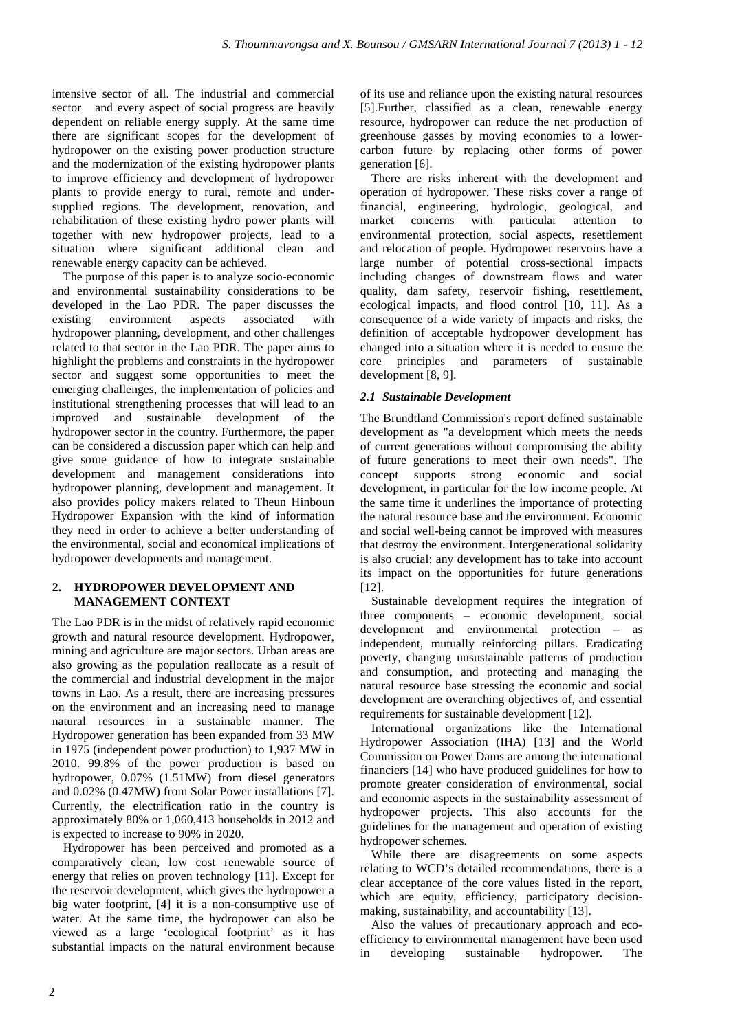intensive sector of all. The industrial and commercial sector and every aspect of social progress are heavily dependent on reliable energy supply. At the same time there are significant scopes for the development of hydropower on the existing power production structure and the modernization of the existing hydropower plants to improve efficiency and development of hydropower plants to provide energy to rural, remote and undersupplied regions. The development, renovation, and rehabilitation of these existing hydro power plants will together with new hydropower projects, lead to a situation where significant additional clean and renewable energy capacity can be achieved.

The purpose of this paper is to analyze socio-economic and environmental sustainability considerations to be developed in the Lao PDR. The paper discusses the existing environment aspects associated with hydropower planning, development, and other challenges related to that sector in the Lao PDR. The paper aims to highlight the problems and constraints in the hydropower sector and suggest some opportunities to meet the emerging challenges, the implementation of policies and institutional strengthening processes that will lead to an improved and sustainable development of the hydropower sector in the country. Furthermore, the paper can be considered a discussion paper which can help and give some guidance of how to integrate sustainable development and management considerations into hydropower planning, development and management. It also provides policy makers related to Theun Hinboun Hydropower Expansion with the kind of information they need in order to achieve a better understanding of the environmental, social and economical implications of hydropower developments and management.

# **2. HYDROPOWER DEVELOPMENT AND MANAGEMENT CONTEXT**

The Lao PDR is in the midst of relatively rapid economic growth and natural resource development. Hydropower, mining and agriculture are major sectors. Urban areas are also growing as the population reallocate as a result of the commercial and industrial development in the major towns in Lao. As a result, there are increasing pressures on the environment and an increasing need to manage natural resources in a sustainable manner. The Hydropower generation has been expanded from 33 MW in 1975 (independent power production) to 1,937 MW in 2010. 99.8% of the power production is based on hydropower, 0.07% (1.51MW) from diesel generators and 0.02% (0.47MW) from Solar Power installations [7]. Currently, the electrification ratio in the country is approximately 80% or 1,060,413 households in 2012 and is expected to increase to 90% in 2020.

Hydropower has been perceived and promoted as a comparatively clean, low cost renewable source of energy that relies on proven technology [11]. Except for the reservoir development, which gives the hydropower a big water footprint, [4] it is a non-consumptive use of water. At the same time, the hydropower can also be viewed as a large 'ecological footprint' as it has substantial impacts on the natural environment because of its use and reliance upon the existing natural resources [5].Further, classified as a clean, renewable energy resource, hydropower can reduce the net production of greenhouse gasses by moving economies to a lowercarbon future by replacing other forms of power generation [6].

There are risks inherent with the development and operation of hydropower. These risks cover a range of financial, engineering, hydrologic, geological, and market concerns with particular attention to environmental protection, social aspects, resettlement and relocation of people. Hydropower reservoirs have a large number of potential cross-sectional impacts including changes of downstream flows and water quality, dam safety, reservoir fishing, resettlement, ecological impacts, and flood control [10, 11]. As a consequence of a wide variety of impacts and risks, the definition of acceptable hydropower development has changed into a situation where it is needed to ensure the core principles and parameters of sustainable development [8, 9].

# *2.1 Sustainable Development*

The Brundtland Commission's report defined sustainable development as "a development which meets the needs of current generations without compromising the ability of future generations to meet their own needs". The concept supports strong economic and social development, in particular for the low income people. At the same time it underlines the importance of protecting the natural resource base and the environment. Economic and social well-being cannot be improved with measures that destroy the environment. Intergenerational solidarity is also crucial: any development has to take into account its impact on the opportunities for future generations [12].

Sustainable development requires the integration of three components – economic development, social development and environmental protection – as independent, mutually reinforcing pillars. Eradicating poverty, changing unsustainable patterns of production and consumption, and protecting and managing the natural resource base stressing the economic and social development are overarching objectives of, and essential requirements for sustainable development [12].

International organizations like the International Hydropower Association (IHA) [13] and the World Commission on Power Dams are among the international financiers [14] who have produced guidelines for how to promote greater consideration of environmental, social and economic aspects in the sustainability assessment of hydropower projects. This also accounts for the guidelines for the management and operation of existing hydropower schemes.

While there are disagreements on some aspects relating to WCD's detailed recommendations, there is a clear acceptance of the core values listed in the report, which are equity, efficiency, participatory decisionmaking, sustainability, and accountability [13].

Also the values of precautionary approach and ecoefficiency to environmental management have been used in developing sustainable hydropower. The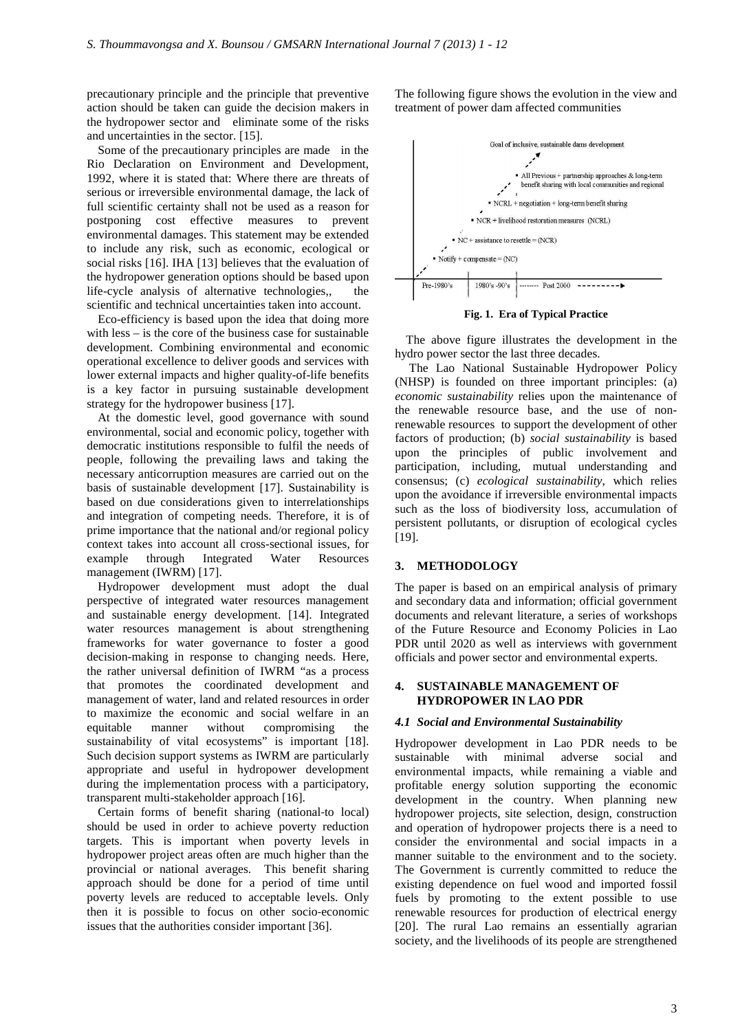precautionary principle and the principle that preventive action should be taken can guide the decision makers in the hydropower sector and eliminate some of the risks and uncertainties in the sector. [15].

Some of the precautionary principles are made in the Rio Declaration on Environment and Development, 1992, where it is stated that: Where there are threats of serious or irreversible environmental damage, the lack of full scientific certainty shall not be used as a reason for postponing cost effective measures to prevent environmental damages. This statement may be extended to include any risk, such as economic, ecological or social risks [16]. IHA [13] believes that the evaluation of the hydropower generation options should be based upon life-cycle analysis of alternative technologies,, the scientific and technical uncertainties taken into account.

Eco-efficiency is based upon the idea that doing more with less – is the core of the business case for sustainable development. Combining environmental and economic operational excellence to deliver goods and services with lower external impacts and higher quality-of-life benefits is a key factor in pursuing sustainable development strategy for the hydropower business [17].

At the domestic level, good governance with sound environmental, social and economic policy, together with democratic institutions responsible to fulfil the needs of people, following the prevailing laws and taking the necessary anticorruption measures are carried out on the basis of sustainable development [17]. Sustainability is based on due considerations given to interrelationships and integration of competing needs. Therefore, it is of prime importance that the national and/or regional policy context takes into account all cross-sectional issues, for example through Integrated Water Resources management (IWRM) [17].

Hydropower development must adopt the dual perspective of integrated water resources management and sustainable energy development. [14]. Integrated water resources management is about strengthening frameworks for water governance to foster a good decision-making in response to changing needs. Here, the rather universal definition of IWRM "as a process that promotes the coordinated development and management of water, land and related resources in order to maximize the economic and social welfare in an equitable manner without compromising the sustainability of vital ecosystems" is important [18]. Such decision support systems as IWRM are particularly appropriate and useful in hydropower development during the implementation process with a participatory, transparent multi-stakeholder approach [16].

Certain forms of benefit sharing (national‐to local) should be used in order to achieve poverty reduction targets. This is important when poverty levels in hydropower project areas often are much higher than the provincial or national averages. This benefit sharing approach should be done for a period of time until poverty levels are reduced to acceptable levels. Only then it is possible to focus on other socio‐economic issues that the authorities consider important [36].

The following figure shows the evolution in the view and treatment of power dam affected communities



**Fig. 1. Era of Typical Practice** 

The above figure illustrates the development in the hydro power sector the last three decades.

 The Lao National Sustainable Hydropower Policy (NHSP) is founded on three important principles: (a) *economic sustainability* relies upon the maintenance of the renewable resource base, and the use of nonrenewable resources to support the development of other factors of production; (b) *social sustainability* is based upon the principles of public involvement and participation, including, mutual understanding and consensus; (c) *ecological sustainability*, which relies upon the avoidance if irreversible environmental impacts such as the loss of biodiversity loss, accumulation of persistent pollutants, or disruption of ecological cycles [19].

# **3. METHODOLOGY**

The paper is based on an empirical analysis of primary and secondary data and information; official government documents and relevant literature, a series of workshops of the Future Resource and Economy Policies in Lao PDR until 2020 as well as interviews with government officials and power sector and environmental experts.

#### **4. SUSTAINABLE MANAGEMENT OF HYDROPOWER IN LAO PDR**

#### *4.1 Social and Environmental Sustainability*

Hydropower development in Lao PDR needs to be sustainable with minimal adverse social and environmental impacts, while remaining a viable and profitable energy solution supporting the economic development in the country. When planning new hydropower projects, site selection, design, construction and operation of hydropower projects there is a need to consider the environmental and social impacts in a manner suitable to the environment and to the society. The Government is currently committed to reduce the existing dependence on fuel wood and imported fossil fuels by promoting to the extent possible to use renewable resources for production of electrical energy [20]. The rural Lao remains an essentially agrarian society, and the livelihoods of its people are strengthened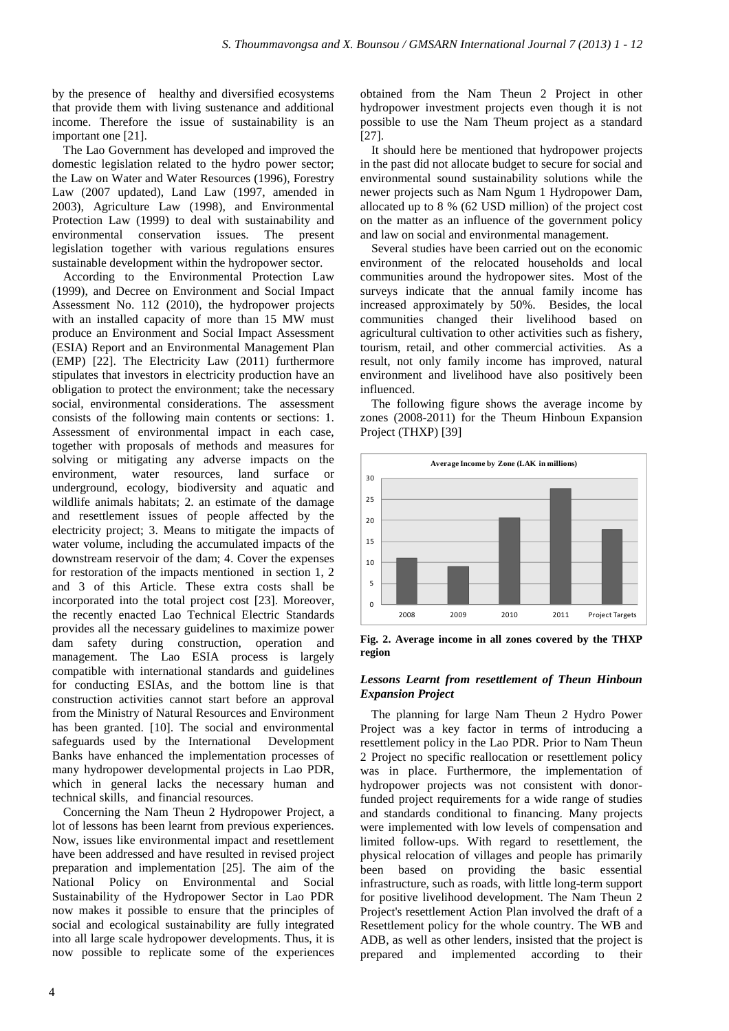by the presence of healthy and diversified ecosystems that provide them with living sustenance and additional income. Therefore the issue of sustainability is an important one [21].

The Lao Government has developed and improved the domestic legislation related to the hydro power sector; the Law on Water and Water Resources (1996), Forestry Law (2007 updated), Land Law (1997, amended in 2003), Agriculture Law (1998), and Environmental Protection Law (1999) to deal with sustainability and environmental conservation issues. The present legislation together with various regulations ensures sustainable development within the hydropower sector.

According to the Environmental Protection Law (1999), and Decree on Environment and Social Impact Assessment No. 112 (2010), the hydropower projects with an installed capacity of more than 15 MW must produce an Environment and Social Impact Assessment (ESIA) Report and an Environmental Management Plan (EMP) [22]. The Electricity Law (2011) furthermore stipulates that investors in electricity production have an obligation to protect the environment; take the necessary social, environmental considerations. The assessment consists of the following main contents or sections: 1. Assessment of environmental impact in each case, together with proposals of methods and measures for solving or mitigating any adverse impacts on the environment, water resources, land surface or underground, ecology, biodiversity and aquatic and wildlife animals habitats; 2. an estimate of the damage and resettlement issues of people affected by the electricity project; 3. Means to mitigate the impacts of water volume, including the accumulated impacts of the downstream reservoir of the dam; 4. Cover the expenses for restoration of the impacts mentioned in section 1, 2 and 3 of this Article. These extra costs shall be incorporated into the total project cost [23]. Moreover, the recently enacted Lao Technical Electric Standards provides all the necessary guidelines to maximize power dam safety during construction, operation and management. The Lao ESIA process is largely compatible with international standards and guidelines for conducting ESIAs, and the bottom line is that construction activities cannot start before an approval from the Ministry of Natural Resources and Environment has been granted. [10]. The social and environmental safeguards used by the International Development Banks have enhanced the implementation processes of many hydropower developmental projects in Lao PDR, which in general lacks the necessary human and technical skills, and financial resources.

Concerning the Nam Theun 2 Hydropower Project, a lot of lessons has been learnt from previous experiences. Now, issues like environmental impact and resettlement have been addressed and have resulted in revised project preparation and implementation [25]. The aim of the National Policy on Environmental and Social Sustainability of the Hydropower Sector in Lao PDR now makes it possible to ensure that the principles of social and ecological sustainability are fully integrated into all large scale hydropower developments. Thus, it is now possible to replicate some of the experiences obtained from the Nam Theun 2 Project in other hydropower investment projects even though it is not possible to use the Nam Theum project as a standard [27].

It should here be mentioned that hydropower projects in the past did not allocate budget to secure for social and environmental sound sustainability solutions while the newer projects such as Nam Ngum 1 Hydropower Dam, allocated up to 8 % (62 USD million) of the project cost on the matter as an influence of the government policy and law on social and environmental management.

Several studies have been carried out on the economic environment of the relocated households and local communities around the hydropower sites. Most of the surveys indicate that the annual family income has increased approximately by 50%. Besides, the local communities changed their livelihood based on agricultural cultivation to other activities such as fishery, tourism, retail, and other commercial activities. As a result, not only family income has improved, natural environment and livelihood have also positively been influenced.

The following figure shows the average income by zones (2008-2011) for the Theum Hinboun Expansion Project (THXP) [39]



**Fig. 2. Average income in all zones covered by the THXP region** 

# *Lessons Learnt from resettlement of Theun Hinboun Expansion Project*

The planning for large Nam Theun 2 Hydro Power Project was a key factor in terms of introducing a resettlement policy in the Lao PDR. Prior to Nam Theun 2 Project no specific reallocation or resettlement policy was in place. Furthermore, the implementation of hydropower projects was not consistent with donorfunded project requirements for a wide range of studies and standards conditional to financing. Many projects were implemented with low levels of compensation and limited follow-ups. With regard to resettlement, the physical relocation of villages and people has primarily been based on providing the basic essential infrastructure, such as roads, with little long-term support for positive livelihood development. The Nam Theun 2 Project's resettlement Action Plan involved the draft of a Resettlement policy for the whole country. The WB and ADB, as well as other lenders, insisted that the project is prepared and implemented according to their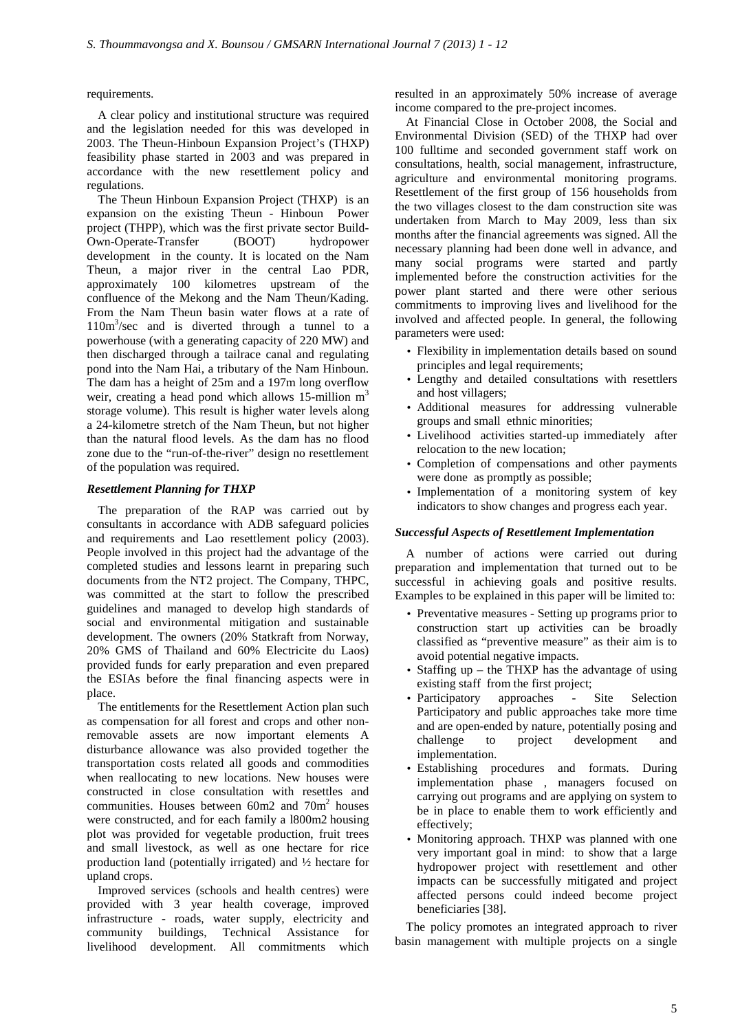#### requirements.

A clear policy and institutional structure was required and the legislation needed for this was developed in 2003. The Theun-Hinboun Expansion Project's (THXP) feasibility phase started in 2003 and was prepared in accordance with the new resettlement policy and regulations.

The Theun Hinboun Expansion Project (THXP) is an expansion on the existing Theun - Hinboun Power project (THPP), which was the first private sector Build-<br>Own-Operate-Transfer (BOOT) hydropower Own-Operate-Transfer (BOOT) hydropower development in the county. It is located on the Nam Theun, a major river in the central Lao PDR, approximately 100 kilometres upstream of the confluence of the Mekong and the Nam Theun/Kading. From the Nam Theun basin water flows at a rate of 110m<sup>3</sup>/sec and is diverted through a tunnel to a powerhouse (with a generating capacity of 220 MW) and then discharged through a tailrace canal and regulating pond into the Nam Hai, a tributary of the Nam Hinboun. The dam has a height of 25m and a 197m long overflow weir, creating a head pond which allows 15-million m<sup>3</sup> storage volume). This result is higher water levels along a 24-kilometre stretch of the Nam Theun, but not higher than the natural flood levels. As the dam has no flood zone due to the "run-of-the-river" design no resettlement of the population was required.

## *Resettlement Planning for THXP*

The preparation of the RAP was carried out by consultants in accordance with ADB safeguard policies and requirements and Lao resettlement policy (2003). People involved in this project had the advantage of the completed studies and lessons learnt in preparing such documents from the NT2 project. The Company, THPC, was committed at the start to follow the prescribed guidelines and managed to develop high standards of social and environmental mitigation and sustainable development. The owners (20% Statkraft from Norway, 20% GMS of Thailand and 60% Electricite du Laos) provided funds for early preparation and even prepared the ESIAs before the final financing aspects were in place.

The entitlements for the Resettlement Action plan such as compensation for all forest and crops and other nonremovable assets are now important elements A disturbance allowance was also provided together the transportation costs related all goods and commodities when reallocating to new locations. New houses were constructed in close consultation with resettles and communities. Houses between  $60m^2$  and  $70m^2$  houses were constructed, and for each family a l800m2 housing plot was provided for vegetable production, fruit trees and small livestock, as well as one hectare for rice production land (potentially irrigated) and ½ hectare for upland crops.

Improved services (schools and health centres) were provided with 3 year health coverage, improved infrastructure - roads, water supply, electricity and community buildings, Technical Assistance for livelihood development. All commitments which

resulted in an approximately 50% increase of average income compared to the pre-project incomes.

At Financial Close in October 2008, the Social and Environmental Division (SED) of the THXP had over 100 fulltime and seconded government staff work on consultations, health, social management, infrastructure, agriculture and environmental monitoring programs. Resettlement of the first group of 156 households from the two villages closest to the dam construction site was undertaken from March to May 2009, less than six months after the financial agreements was signed. All the necessary planning had been done well in advance, and many social programs were started and partly implemented before the construction activities for the power plant started and there were other serious commitments to improving lives and livelihood for the involved and affected people. In general, the following parameters were used:

- Flexibility in implementation details based on sound principles and legal requirements;
- Lengthy and detailed consultations with resettlers and host villagers;
- Additional measures for addressing vulnerable groups and small ethnic minorities;
- Livelihood activities started-up immediately after relocation to the new location;
- Completion of compensations and other payments were done as promptly as possible;
- Implementation of a monitoring system of key indicators to show changes and progress each year.

#### *Successful Aspects of Resettlement Implementation*

A number of actions were carried out during preparation and implementation that turned out to be successful in achieving goals and positive results. Examples to be explained in this paper will be limited to:

- Preventative measures Setting up programs prior to construction start up activities can be broadly classified as "preventive measure" as their aim is to avoid potential negative impacts.
- Staffing up the THXP has the advantage of using existing staff from the first project;
- Participatory approaches Site Selection Participatory and public approaches take more time and are open-ended by nature, potentially posing and challenge to project development and implementation.
- Establishing procedures and formats. During implementation phase , managers focused on carrying out programs and are applying on system to be in place to enable them to work efficiently and effectively;
- Monitoring approach. THXP was planned with one very important goal in mind: to show that a large hydropower project with resettlement and other impacts can be successfully mitigated and project affected persons could indeed become project beneficiaries [38].

The policy promotes an integrated approach to river basin management with multiple projects on a single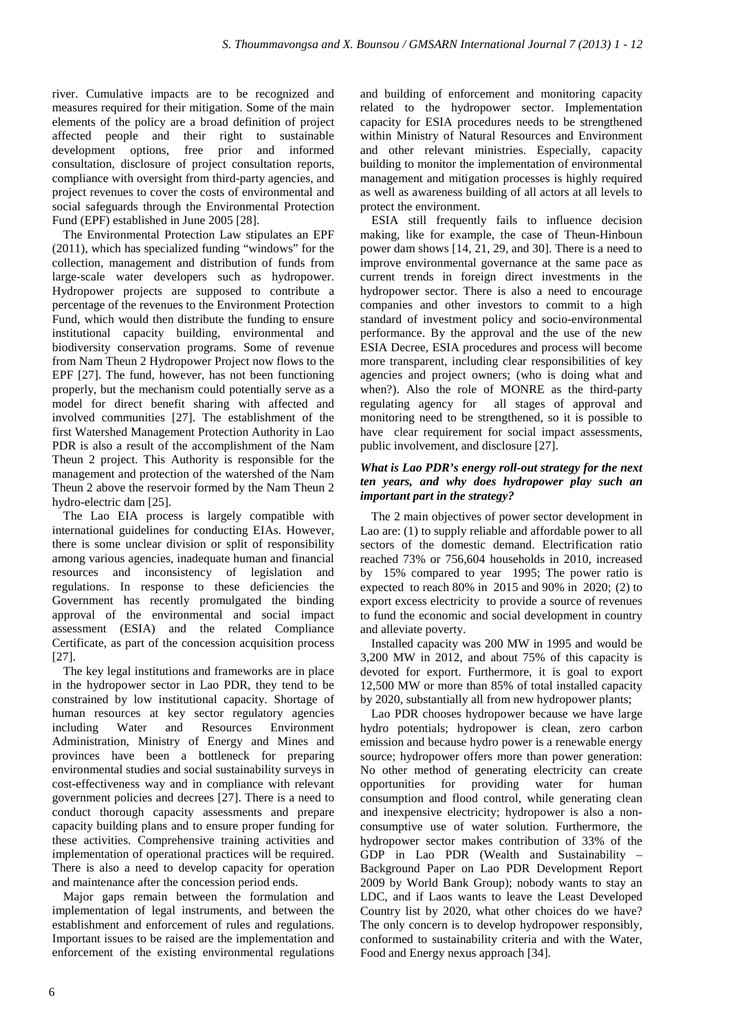river. Cumulative impacts are to be recognized and measures required for their mitigation. Some of the main elements of the policy are a broad definition of project affected people and their right to sustainable development options, free prior and informed consultation, disclosure of project consultation reports, compliance with oversight from third-party agencies, and project revenues to cover the costs of environmental and social safeguards through the Environmental Protection Fund (EPF) established in June 2005 [28].

The Environmental Protection Law stipulates an EPF (2011), which has specialized funding "windows" for the collection, management and distribution of funds from large-scale water developers such as hydropower. Hydropower projects are supposed to contribute a percentage of the revenues to the Environment Protection Fund, which would then distribute the funding to ensure institutional capacity building, environmental and biodiversity conservation programs. Some of revenue from Nam Theun 2 Hydropower Project now flows to the EPF [27]. The fund, however, has not been functioning properly, but the mechanism could potentially serve as a model for direct benefit sharing with affected and involved communities [27]. The establishment of the first Watershed Management Protection Authority in Lao PDR is also a result of the accomplishment of the Nam Theun 2 project. This Authority is responsible for the management and protection of the watershed of the Nam Theun 2 above the reservoir formed by the Nam Theun 2 hydro-electric dam [25].

The Lao EIA process is largely compatible with international guidelines for conducting EIAs. However, there is some unclear division or split of responsibility among various agencies, inadequate human and financial resources and inconsistency of legislation and regulations. In response to these deficiencies the Government has recently promulgated the binding approval of the environmental and social impact assessment (ESIA) and the related Compliance Certificate, as part of the concession acquisition process [27].

The key legal institutions and frameworks are in place in the hydropower sector in Lao PDR, they tend to be constrained by low institutional capacity. Shortage of human resources at key sector regulatory agencies including Water and Resources Environment Administration, Ministry of Energy and Mines and provinces have been a bottleneck for preparing environmental studies and social sustainability surveys in cost-effectiveness way and in compliance with relevant government policies and decrees [27]. There is a need to conduct thorough capacity assessments and prepare capacity building plans and to ensure proper funding for these activities. Comprehensive training activities and implementation of operational practices will be required. There is also a need to develop capacity for operation and maintenance after the concession period ends.

Major gaps remain between the formulation and implementation of legal instruments, and between the establishment and enforcement of rules and regulations. Important issues to be raised are the implementation and enforcement of the existing environmental regulations

and building of enforcement and monitoring capacity related to the hydropower sector. Implementation capacity for ESIA procedures needs to be strengthened within Ministry of Natural Resources and Environment and other relevant ministries. Especially, capacity building to monitor the implementation of environmental management and mitigation processes is highly required as well as awareness building of all actors at all levels to protect the environment.

ESIA still frequently fails to influence decision making, like for example, the case of Theun-Hinboun power dam shows [14, 21, 29, and 30]. There is a need to improve environmental governance at the same pace as current trends in foreign direct investments in the hydropower sector. There is also a need to encourage companies and other investors to commit to a high standard of investment policy and socio-environmental performance. By the approval and the use of the new ESIA Decree, ESIA procedures and process will become more transparent, including clear responsibilities of key agencies and project owners; (who is doing what and when?). Also the role of MONRE as the third-party regulating agency for all stages of approval and monitoring need to be strengthened, so it is possible to have clear requirement for social impact assessments, public involvement, and disclosure [27].

## *What is Lao PDR's energy roll-out strategy for the next ten years, and why does hydropower play such an important part in the strategy?*

The 2 main objectives of power sector development in Lao are: (1) to supply reliable and affordable power to all sectors of the domestic demand. Electrification ratio reached 73% or 756,604 households in 2010, increased by 15% compared to year 1995; The power ratio is expected to reach 80% in 2015 and 90% in 2020; (2) to export excess electricity to provide a source of revenues to fund the economic and social development in country and alleviate poverty.

Installed capacity was 200 MW in 1995 and would be 3,200 MW in 2012, and about 75% of this capacity is devoted for export. Furthermore, it is goal to export 12,500 MW or more than 85% of total installed capacity by 2020, substantially all from new hydropower plants;

Lao PDR chooses hydropower because we have large hydro potentials; hydropower is clean, zero carbon emission and because hydro power is a renewable energy source; hydropower offers more than power generation: No other method of generating electricity can create opportunities for providing water for human consumption and flood control, while generating clean and inexpensive electricity; hydropower is also a nonconsumptive use of water solution. Furthermore, the hydropower sector makes contribution of 33% of the GDP in Lao PDR (Wealth and Sustainability – Background Paper on Lao PDR Development Report 2009 by World Bank Group); nobody wants to stay an LDC, and if Laos wants to leave the Least Developed Country list by 2020, what other choices do we have? The only concern is to develop hydropower responsibly, conformed to sustainability criteria and with the Water, Food and Energy nexus approach [34].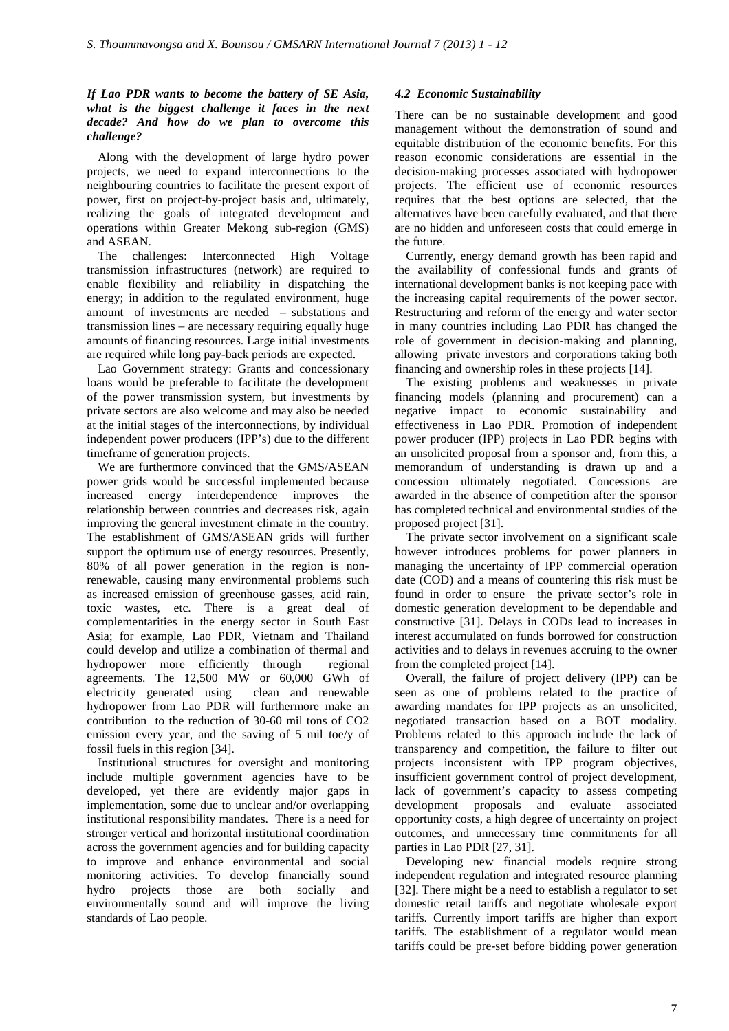# *If Lao PDR wants to become the battery of SE Asia, what is the biggest challenge it faces in the next decade? And how do we plan to overcome this challenge?*

Along with the development of large hydro power projects, we need to expand interconnections to the neighbouring countries to facilitate the present export of power, first on project-by-project basis and, ultimately, realizing the goals of integrated development and operations within Greater Mekong sub-region (GMS) and ASEAN.

The challenges: Interconnected High Voltage transmission infrastructures (network) are required to enable flexibility and reliability in dispatching the energy; in addition to the regulated environment, huge amount of investments are needed – substations and transmission lines – are necessary requiring equally huge amounts of financing resources. Large initial investments are required while long pay-back periods are expected.

Lao Government strategy: Grants and concessionary loans would be preferable to facilitate the development of the power transmission system, but investments by private sectors are also welcome and may also be needed at the initial stages of the interconnections, by individual independent power producers (IPP's) due to the different timeframe of generation projects.

We are furthermore convinced that the GMS/ASEAN power grids would be successful implemented because increased energy interdependence improves the relationship between countries and decreases risk, again improving the general investment climate in the country. The establishment of GMS/ASEAN grids will further support the optimum use of energy resources. Presently, 80% of all power generation in the region is nonrenewable, causing many environmental problems such as increased emission of greenhouse gasses, acid rain, toxic wastes, etc. There is a great deal of complementarities in the energy sector in South East Asia; for example, Lao PDR, Vietnam and Thailand could develop and utilize a combination of thermal and hydropower more efficiently through regional agreements. The 12,500 MW or 60,000 GWh of electricity generated using clean and renewable hydropower from Lao PDR will furthermore make an contribution to the reduction of 30-60 mil tons of CO2 emission every year, and the saving of 5 mil toe/y of fossil fuels in this region [34].

Institutional structures for oversight and monitoring include multiple government agencies have to be developed, yet there are evidently major gaps in implementation, some due to unclear and/or overlapping institutional responsibility mandates. There is a need for stronger vertical and horizontal institutional coordination across the government agencies and for building capacity to improve and enhance environmental and social monitoring activities. To develop financially sound hydro projects those are both socially and environmentally sound and will improve the living standards of Lao people.

# *4.2 Economic Sustainability*

There can be no sustainable development and good management without the demonstration of sound and equitable distribution of the economic benefits. For this reason economic considerations are essential in the decision-making processes associated with hydropower projects. The efficient use of economic resources requires that the best options are selected, that the alternatives have been carefully evaluated, and that there are no hidden and unforeseen costs that could emerge in the future.

Currently, energy demand growth has been rapid and the availability of confessional funds and grants of international development banks is not keeping pace with the increasing capital requirements of the power sector. Restructuring and reform of the energy and water sector in many countries including Lao PDR has changed the role of government in decision-making and planning, allowing private investors and corporations taking both financing and ownership roles in these projects [14].

The existing problems and weaknesses in private financing models (planning and procurement) can a negative impact to economic sustainability and effectiveness in Lao PDR. Promotion of independent power producer (IPP) projects in Lao PDR begins with an unsolicited proposal from a sponsor and, from this, a memorandum of understanding is drawn up and a concession ultimately negotiated. Concessions are awarded in the absence of competition after the sponsor has completed technical and environmental studies of the proposed project [31].

The private sector involvement on a significant scale however introduces problems for power planners in managing the uncertainty of IPP commercial operation date (COD) and a means of countering this risk must be found in order to ensure the private sector's role in domestic generation development to be dependable and constructive [31]. Delays in CODs lead to increases in interest accumulated on funds borrowed for construction activities and to delays in revenues accruing to the owner from the completed project [14].

Overall, the failure of project delivery (IPP) can be seen as one of problems related to the practice of awarding mandates for IPP projects as an unsolicited, negotiated transaction based on a BOT modality. Problems related to this approach include the lack of transparency and competition, the failure to filter out projects inconsistent with IPP program objectives, insufficient government control of project development, lack of government's capacity to assess competing development proposals and evaluate associated opportunity costs, a high degree of uncertainty on project outcomes, and unnecessary time commitments for all parties in Lao PDR [27, 31].

Developing new financial models require strong independent regulation and integrated resource planning [32]. There might be a need to establish a regulator to set domestic retail tariffs and negotiate wholesale export tariffs. Currently import tariffs are higher than export tariffs. The establishment of a regulator would mean tariffs could be pre-set before bidding power generation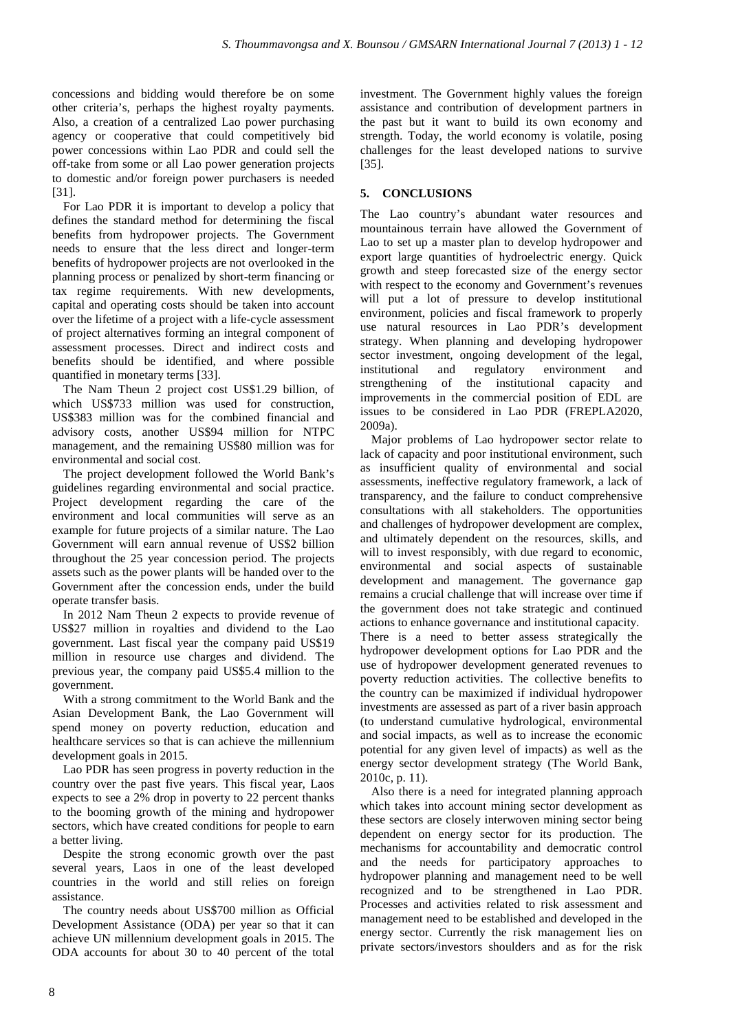concessions and bidding would therefore be on some other criteria's, perhaps the highest royalty payments. Also, a creation of a centralized Lao power purchasing agency or cooperative that could competitively bid power concessions within Lao PDR and could sell the off-take from some or all Lao power generation projects to domestic and/or foreign power purchasers is needed [31].

For Lao PDR it is important to develop a policy that defines the standard method for determining the fiscal benefits from hydropower projects. The Government needs to ensure that the less direct and longer-term benefits of hydropower projects are not overlooked in the planning process or penalized by short-term financing or tax regime requirements. With new developments, capital and operating costs should be taken into account over the lifetime of a project with a life-cycle assessment of project alternatives forming an integral component of assessment processes. Direct and indirect costs and benefits should be identified, and where possible quantified in monetary terms [33].

The Nam Theun 2 project cost US\$1.29 billion, of which US\$733 million was used for construction, US\$383 million was for the combined financial and advisory costs, another US\$94 million for NTPC management, and the remaining US\$80 million was for environmental and social cost.

The project development followed the World Bank's guidelines regarding environmental and social practice. Project development regarding the care of the environment and local communities will serve as an example for future projects of a similar nature. The Lao Government will earn annual revenue of US\$2 billion throughout the 25 year concession period. The projects assets such as the power plants will be handed over to the Government after the concession ends, under the build operate transfer basis.

In 2012 Nam Theun 2 expects to provide revenue of US\$27 million in royalties and dividend to the Lao government. Last fiscal year the company paid US\$19 million in resource use charges and dividend. The previous year, the company paid US\$5.4 million to the government.

With a strong commitment to the World Bank and the Asian Development Bank, the Lao Government will spend money on poverty reduction, education and healthcare services so that is can achieve the millennium development goals in 2015.

Lao PDR has seen progress in poverty reduction in the country over the past five years. This fiscal year, Laos expects to see a 2% drop in poverty to 22 percent thanks to the booming growth of the mining and hydropower sectors, which have created conditions for people to earn a better living.

Despite the strong economic growth over the past several years, Laos in one of the least developed countries in the world and still relies on foreign assistance.

The country needs about US\$700 million as Official Development Assistance (ODA) per year so that it can achieve UN millennium development goals in 2015. The ODA accounts for about 30 to 40 percent of the total

investment. The Government highly values the foreign assistance and contribution of development partners in the past but it want to build its own economy and strength. Today, the world economy is volatile, posing challenges for the least developed nations to survive [35].

# **5. CONCLUSIONS**

The Lao country's abundant water resources and mountainous terrain have allowed the Government of Lao to set up a master plan to develop hydropower and export large quantities of hydroelectric energy. Quick growth and steep forecasted size of the energy sector with respect to the economy and Government's revenues will put a lot of pressure to develop institutional environment, policies and fiscal framework to properly use natural resources in Lao PDR's development strategy. When planning and developing hydropower sector investment, ongoing development of the legal, institutional and regulatory environment and strengthening of the institutional capacity and improvements in the commercial position of EDL are issues to be considered in Lao PDR (FREPLA2020, 2009a).

Major problems of Lao hydropower sector relate to lack of capacity and poor institutional environment, such as insufficient quality of environmental and social assessments, ineffective regulatory framework, a lack of transparency, and the failure to conduct comprehensive consultations with all stakeholders. The opportunities and challenges of hydropower development are complex, and ultimately dependent on the resources, skills, and will to invest responsibly, with due regard to economic, environmental and social aspects of sustainable development and management. The governance gap remains a crucial challenge that will increase over time if the government does not take strategic and continued actions to enhance governance and institutional capacity. There is a need to better assess strategically the hydropower development options for Lao PDR and the use of hydropower development generated revenues to poverty reduction activities. The collective benefits to the country can be maximized if individual hydropower investments are assessed as part of a river basin approach (to understand cumulative hydrological, environmental and social impacts, as well as to increase the economic potential for any given level of impacts) as well as the energy sector development strategy (The World Bank, 2010c, p. 11).

Also there is a need for integrated planning approach which takes into account mining sector development as these sectors are closely interwoven mining sector being dependent on energy sector for its production. The mechanisms for accountability and democratic control and the needs for participatory approaches to hydropower planning and management need to be well recognized and to be strengthened in Lao PDR. Processes and activities related to risk assessment and management need to be established and developed in the energy sector. Currently the risk management lies on private sectors/investors shoulders and as for the risk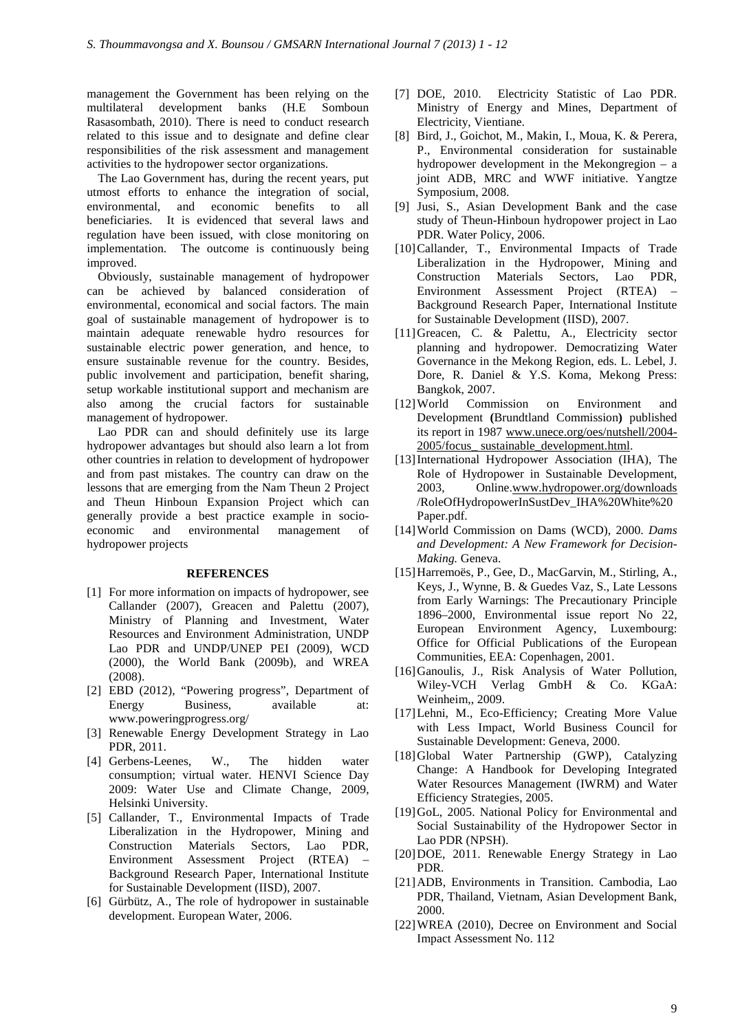management the Government has been relying on the multilateral development banks (H.E Somboun Rasasombath, 2010). There is need to conduct research related to this issue and to designate and define clear responsibilities of the risk assessment and management activities to the hydropower sector organizations.

The Lao Government has, during the recent years, put utmost efforts to enhance the integration of social, environmental, and economic benefits to all beneficiaries. It is evidenced that several laws and regulation have been issued, with close monitoring on implementation. The outcome is continuously being improved.

Obviously, sustainable management of hydropower can be achieved by balanced consideration of environmental, economical and social factors. The main goal of sustainable management of hydropower is to maintain adequate renewable hydro resources for sustainable electric power generation, and hence, to ensure sustainable revenue for the country. Besides, public involvement and participation, benefit sharing, setup workable institutional support and mechanism are also among the crucial factors for sustainable management of hydropower.

Lao PDR can and should definitely use its large hydropower advantages but should also learn a lot from other countries in relation to development of hydropower and from past mistakes. The country can draw on the lessons that are emerging from the Nam Theun 2 Project and Theun Hinboun Expansion Project which can generally provide a best practice example in socioeconomic and environmental management of hydropower projects

#### **REFERENCES**

- [1] For more information on impacts of hydropower, see Callander (2007), Greacen and Palettu (2007), Ministry of Planning and Investment, Water Resources and Environment Administration, UNDP Lao PDR and UNDP/UNEP PEI (2009), WCD (2000), the World Bank (2009b), and WREA (2008).
- [2] EBD (2012), "Powering progress", Department of Energy Business, available at: www.poweringprogress.org/
- [3] Renewable Energy Development Strategy in Lao PDR, 2011.
- [4] Gerbens-Leenes, W., The hidden water consumption; virtual water. HENVI Science Day 2009: Water Use and Climate Change, 2009, Helsinki University.
- [5] Callander, T., Environmental Impacts of Trade Liberalization in the Hydropower, Mining and Construction Materials Sectors, Lao PDR, Environment Assessment Project (RTEA) – Background Research Paper, International Institute for Sustainable Development (IISD), 2007.
- [6] Gürbütz, A., The role of hydropower in sustainable development. European Water, 2006.
- [7] DOE, 2010. Electricity Statistic of Lao PDR. Ministry of Energy and Mines, Department of Electricity, Vientiane.
- [8] Bird, J., Goichot, M., Makin, I., Moua, K. & Perera, P., Environmental consideration for sustainable hydropower development in the Mekongregion – a joint ADB, MRC and WWF initiative. Yangtze Symposium, 2008.
- [9] Jusi, S., Asian Development Bank and the case study of Theun-Hinboun hydropower project in Lao PDR. Water Policy, 2006.
- [10]Callander, T., Environmental Impacts of Trade Liberalization in the Hydropower, Mining and Construction Materials Sectors, Lao PDR, Environment Assessment Project (RTEA) – Background Research Paper, International Institute for Sustainable Development (IISD), 2007.
- [11]Greacen, C. & Palettu, A., Electricity sector planning and hydropower. Democratizing Water Governance in the Mekong Region, eds. L. Lebel, J. Dore, R. Daniel & Y.S. Koma, Mekong Press: Bangkok, 2007.
- [12]World Commission on Environment and Development **(**Brundtland Commission**)** published its report in 1987 www.unece.org/oes/nutshell/2004- 2005/focus\_ sustainable\_development.html.
- [13]International Hydropower Association (IHA), The Role of Hydropower in Sustainable Development, 2003, Online.www.hydropower.org/downloads /RoleOfHydropowerInSustDev\_IHA%20White%20 Paper.pdf.
- [14]World Commission on Dams (WCD), 2000. *Dams and Development: A New Framework for Decision-Making.* Geneva.
- [15]Harremoës, P., Gee, D., MacGarvin, M., Stirling, A., Keys, J., Wynne, B. & Guedes Vaz, S., Late Lessons from Early Warnings: The Precautionary Principle 1896–2000, Environmental issue report No 22, European Environment Agency, Luxembourg: Office for Official Publications of the European Communities, EEA: Copenhagen, 2001.
- [16]Ganoulis, J., Risk Analysis of Water Pollution, Wiley-VCH Verlag GmbH & Co. KGaA: Weinheim,, 2009.
- [17]Lehni, M., Eco-Efficiency; Creating More Value with Less Impact, World Business Council for Sustainable Development: Geneva, 2000.
- [18]Global Water Partnership (GWP), Catalyzing Change: A Handbook for Developing Integrated Water Resources Management (IWRM) and Water Efficiency Strategies, 2005.
- [19]GoL, 2005. National Policy for Environmental and Social Sustainability of the Hydropower Sector in Lao PDR (NPSH).
- [20]DOE, 2011. Renewable Energy Strategy in Lao PDR.
- [21]ADB, Environments in Transition. Cambodia, Lao PDR, Thailand, Vietnam, Asian Development Bank, 2000.
- [22]WREA (2010), Decree on Environment and Social Impact Assessment No. 112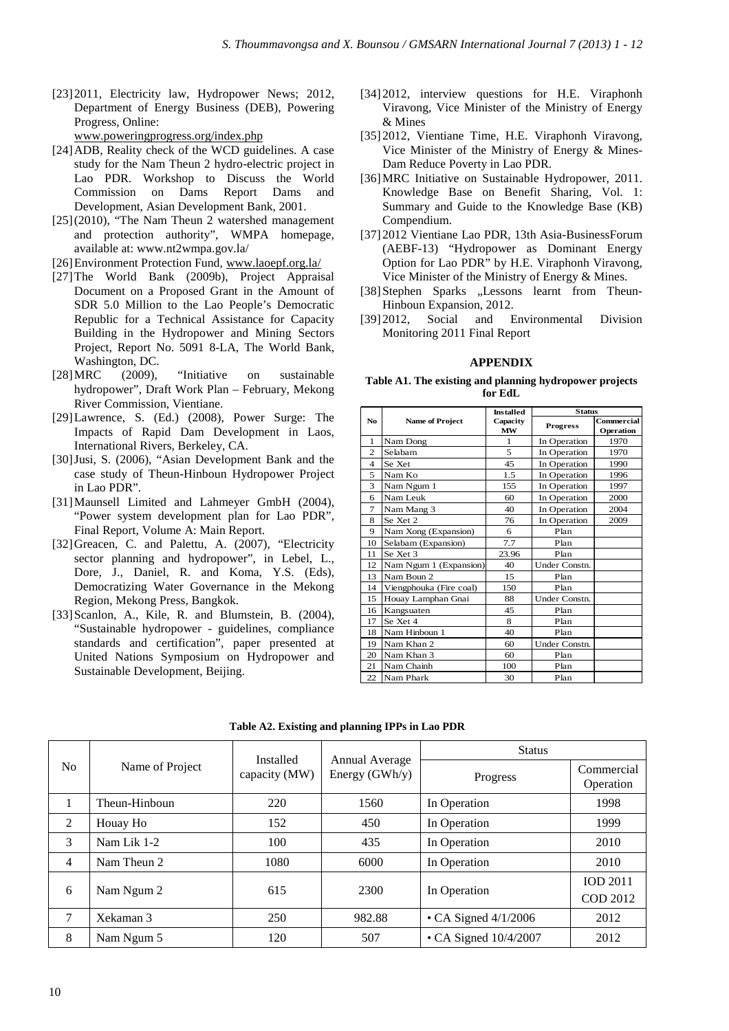[23] 2011, Electricity law, Hydropower News; 2012, Department of Energy Business (DEB), Powering Progress, Online:

www.poweringprogress.org/index.php

- [24]ADB, Reality check of the WCD guidelines. A case study for the Nam Theun 2 hydro-electric project in Lao PDR. Workshop to Discuss the World Commission on Dams Report Dams and Development, Asian Development Bank, 2001.
- [25](2010), "The Nam Theun 2 watershed management and protection authority", WMPA homepage, available at: www.nt2wmpa.gov.la/
- [26]Environment Protection Fund, www.laoepf.org.la/
- [27]The World Bank (2009b), Project Appraisal Document on a Proposed Grant in the Amount of SDR 5.0 Million to the Lao People's Democratic Republic for a Technical Assistance for Capacity Building in the Hydropower and Mining Sectors Project, Report No. 5091 8-LA, The World Bank, Washington, DC.
- [28] MRC (2009), "Initiative on sustainable hydropower", Draft Work Plan – February, Mekong River Commission, Vientiane.
- [29]Lawrence, S. (Ed.) (2008), Power Surge: The Impacts of Rapid Dam Development in Laos, International Rivers, Berkeley, CA.
- [30]Jusi, S. (2006), "Asian Development Bank and the case study of Theun-Hinboun Hydropower Project in Lao PDR".
- [31]Maunsell Limited and Lahmeyer GmbH (2004), "Power system development plan for Lao PDR", Final Report, Volume A: Main Report.
- [32]Greacen, C. and Palettu, A. (2007), "Electricity sector planning and hydropower", in Lebel, L., Dore, J., Daniel, R. and Koma, Y.S. (Eds), Democratizing Water Governance in the Mekong Region, Mekong Press, Bangkok.
- [33] Scanlon, A., Kile, R. and Blumstein, B. (2004), "Sustainable hydropower - guidelines, compliance standards and certification", paper presented at United Nations Symposium on Hydropower and Sustainable Development, Beijing.
- [34] 2012, interview questions for H.E. Viraphonh Viravong, Vice Minister of the Ministry of Energy & Mines
- [35] 2012, Vientiane Time, H.E. Viraphonh Viravong, Vice Minister of the Ministry of Energy & Mines-Dam Reduce Poverty in Lao PDR.
- [36]MRC Initiative on Sustainable Hydropower, 2011. Knowledge Base on Benefit Sharing, Vol. 1: Summary and Guide to the Knowledge Base (KB) Compendium.
- [37] 2012 Vientiane Lao PDR, 13th Asia-BusinessForum (AEBF-13) "Hydropower as Dominant Energy Option for Lao PDR" by H.E. Viraphonh Viravong, Vice Minister of the Ministry of Energy & Mines.
- [38] Stephen Sparks "Lessons learnt from Theun-Hinboun Expansion, 2012.
- [39] 2012, Social and Environmental Division Monitoring 2011 Final Report

#### **APPENDIX**

**Table A1. The existing and planning hydropower projects for EdL** 

|                | <b>Name of Project</b>  | <b>Installed</b>      | <b>Status</b>   |                         |
|----------------|-------------------------|-----------------------|-----------------|-------------------------|
| No.            |                         | Capacity<br><b>MW</b> | <b>Progress</b> | Commercial<br>Operation |
| 1              | Nam Dong                | 1                     | In Operation    | 1970                    |
| $\overline{2}$ | Selabam                 | 5                     | In Operation    | 1970                    |
| $\overline{4}$ | Se Xet                  | 45                    | In Operation    | 1990                    |
| 5              | Nam Ko                  | 1.5                   | In Operation    | 1996                    |
| 3              | Nam Ngum 1              | 155                   | In Operation    | 1997                    |
| 6              | Nam Leuk                | 60                    | In Operation    | 2000                    |
| 7              | Nam Mang 3              | 40                    | In Operation    | 2004                    |
| 8              | Se Xet 2                | 76                    | In Operation    | 2009                    |
| 9              | Nam Xong (Expansion)    | 6                     | Plan            |                         |
| 10             | Selabam (Expansion)     | 7.7                   | Plan            |                         |
| 11             | Se Xet 3                | 23.96                 | Plan            |                         |
| 12             | Nam Ngum 1 (Expansion)  | 40                    | Under Constn.   |                         |
| 13             | Nam Boun 2              | 15                    | Plan            |                         |
| 14             | Viengphouka (Fire coal) | 150                   | Plan            |                         |
| 15             | Houay Lamphan Gnai      | 88                    | Under Constn.   |                         |
| 16             | Kangsuaten              | 45                    | Plan            |                         |
| 17             | Se Xet 4                | 8                     | Plan            |                         |
| 18             | Nam Hinboun 1           | 40                    | Plan            |                         |
| 19             | Nam Khan 2              | 60                    | Under Constn.   |                         |
| 20             | Nam Khan 3              | 60                    | Plan            |                         |
| 21             | Nam Chainh              | 100                   | Plan            |                         |
| 22             | Nam Phark               | 30                    | Plan            |                         |

**Table A2. Existing and planning IPPs in Lao PDR** 

| N <sub>0</sub> | Name of Project | Installed<br>capacity (MW) | Annual Average<br>Energy $(GWh/y)$ | <b>Status</b>                 |                             |
|----------------|-----------------|----------------------------|------------------------------------|-------------------------------|-----------------------------|
|                |                 |                            |                                    | Progress                      | Commercial<br>Operation     |
|                | Theun-Hinboun   | 220                        | 1560                               | In Operation                  | 1998                        |
| 2              | Houay Ho        | 152                        | 450                                | In Operation                  | 1999                        |
| 3              | Nam Lik 1-2     | 100                        | 435                                | In Operation                  | 2010                        |
| $\overline{4}$ | Nam Theun 2     | 1080                       | 6000                               | In Operation                  | 2010                        |
| 6              | Nam Ngum 2      | 615                        | 2300                               | In Operation                  | <b>IOD 2011</b><br>COD 2012 |
| 7              | Xekaman 3       | 250                        | 982.88                             | $\bullet$ CA Signed 4/1/2006  | 2012                        |
| 8              | Nam Ngum 5      | 120                        | 507                                | $\bullet$ CA Signed 10/4/2007 | 2012                        |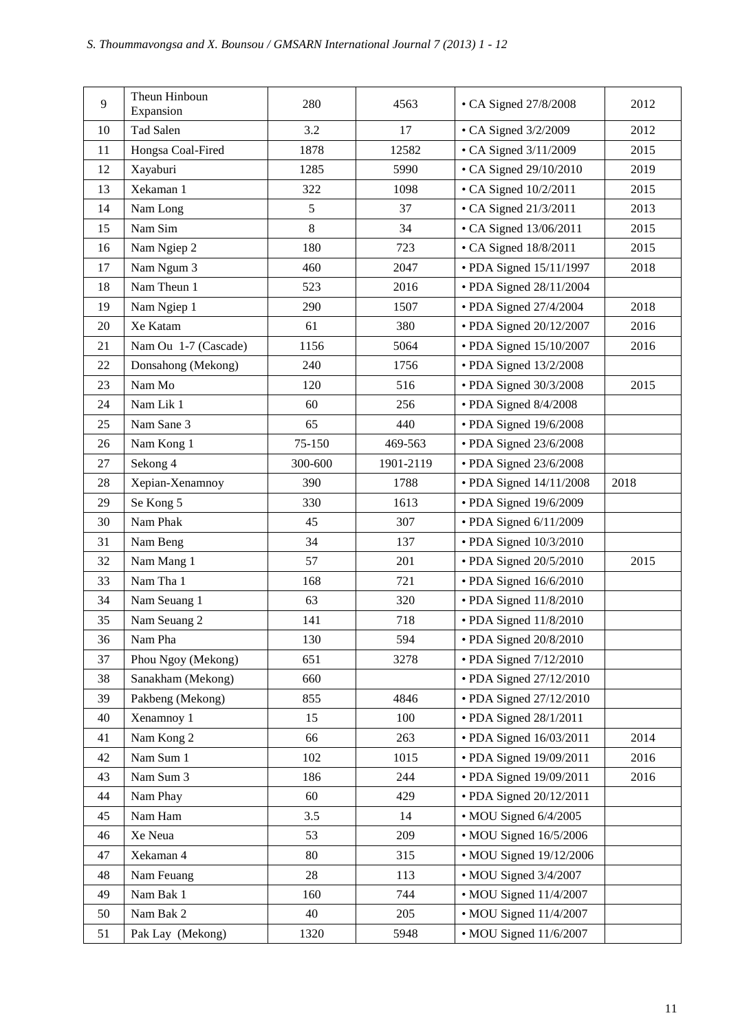| 9  | Theun Hinboun<br>Expansion | 280     | 4563      | • CA Signed 27/8/2008         | 2012 |
|----|----------------------------|---------|-----------|-------------------------------|------|
| 10 | Tad Salen                  | 3.2     | 17        | • CA Signed 3/2/2009          | 2012 |
| 11 | Hongsa Coal-Fired          | 1878    | 12582     | • CA Signed 3/11/2009         | 2015 |
| 12 | Xayaburi                   | 1285    | 5990      | • CA Signed 29/10/2010        | 2019 |
| 13 | Xekaman 1                  | 322     | 1098      | • CA Signed 10/2/2011         | 2015 |
| 14 | Nam Long                   | 5       | 37        | • CA Signed 21/3/2011         | 2013 |
| 15 | Nam Sim                    | 8       | 34        | • CA Signed 13/06/2011        | 2015 |
| 16 | Nam Ngiep 2                | 180     | 723       | • CA Signed 18/8/2011         | 2015 |
| 17 | Nam Ngum 3                 | 460     | 2047      | • PDA Signed 15/11/1997       | 2018 |
| 18 | Nam Theun 1                | 523     | 2016      | • PDA Signed 28/11/2004       |      |
| 19 | Nam Ngiep 1                | 290     | 1507      | • PDA Signed 27/4/2004        | 2018 |
| 20 | Xe Katam                   | 61      | 380       | • PDA Signed 20/12/2007       | 2016 |
| 21 | Nam Ou 1-7 (Cascade)       | 1156    | 5064      | • PDA Signed 15/10/2007       | 2016 |
| 22 | Donsahong (Mekong)         | 240     | 1756      | • PDA Signed 13/2/2008        |      |
| 23 | Nam Mo                     | 120     | 516       | • PDA Signed 30/3/2008        | 2015 |
| 24 | Nam Lik 1                  | 60      | 256       | • PDA Signed 8/4/2008         |      |
| 25 | Nam Sane 3                 | 65      | 440       | • PDA Signed 19/6/2008        |      |
| 26 | Nam Kong 1                 | 75-150  | 469-563   | • PDA Signed 23/6/2008        |      |
| 27 | Sekong 4                   | 300-600 | 1901-2119 | • PDA Signed 23/6/2008        |      |
| 28 | Xepian-Xenamnoy            | 390     | 1788      | • PDA Signed 14/11/2008       | 2018 |
| 29 | Se Kong 5                  | 330     | 1613      | • PDA Signed 19/6/2009        |      |
| 30 | Nam Phak                   | 45      | 307       | • PDA Signed 6/11/2009        |      |
| 31 | Nam Beng                   | 34      | 137       | • PDA Signed 10/3/2010        |      |
| 32 | Nam Mang 1                 | 57      | 201       | • PDA Signed 20/5/2010        | 2015 |
| 33 | Nam Tha 1                  | 168     | 721       | • PDA Signed 16/6/2010        |      |
| 34 | Nam Seuang 1               | 63      | 320       | • PDA Signed 11/8/2010        |      |
| 35 | Nam Seuang 2               | 141     | 718       | • PDA Signed 11/8/2010        |      |
| 36 | Nam Pha                    | 130     | 594       | • PDA Signed 20/8/2010        |      |
| 37 | Phou Ngoy (Mekong)         | 651     | 3278      | • PDA Signed 7/12/2010        |      |
| 38 | Sanakham (Mekong)          | 660     |           | • PDA Signed 27/12/2010       |      |
| 39 | Pakbeng (Mekong)           | 855     | 4846      | • PDA Signed 27/12/2010       |      |
| 40 | Xenamnoy 1                 | 15      | 100       | • PDA Signed 28/1/2011        |      |
| 41 | Nam Kong 2                 | 66      | 263       | • PDA Signed 16/03/2011       | 2014 |
| 42 | Nam Sum 1                  | 102     | 1015      | • PDA Signed 19/09/2011       | 2016 |
| 43 | Nam Sum 3                  | 186     | 244       | • PDA Signed 19/09/2011       | 2016 |
| 44 | Nam Phay                   | 60      | 429       | • PDA Signed 20/12/2011       |      |
| 45 | Nam Ham                    | 3.5     | 14        | $\bullet$ MOU Signed 6/4/2005 |      |
| 46 | Xe Neua                    | 53      | 209       | • MOU Signed 16/5/2006        |      |
| 47 | Xekaman 4                  | 80      | 315       | • MOU Signed 19/12/2006       |      |
| 48 | Nam Feuang                 | 28      | 113       | • MOU Signed 3/4/2007         |      |
| 49 | Nam Bak 1                  | 160     | 744       | • MOU Signed 11/4/2007        |      |
| 50 | Nam Bak 2                  | 40      | 205       | • MOU Signed 11/4/2007        |      |
| 51 | Pak Lay (Mekong)           | 1320    | 5948      | • MOU Signed 11/6/2007        |      |